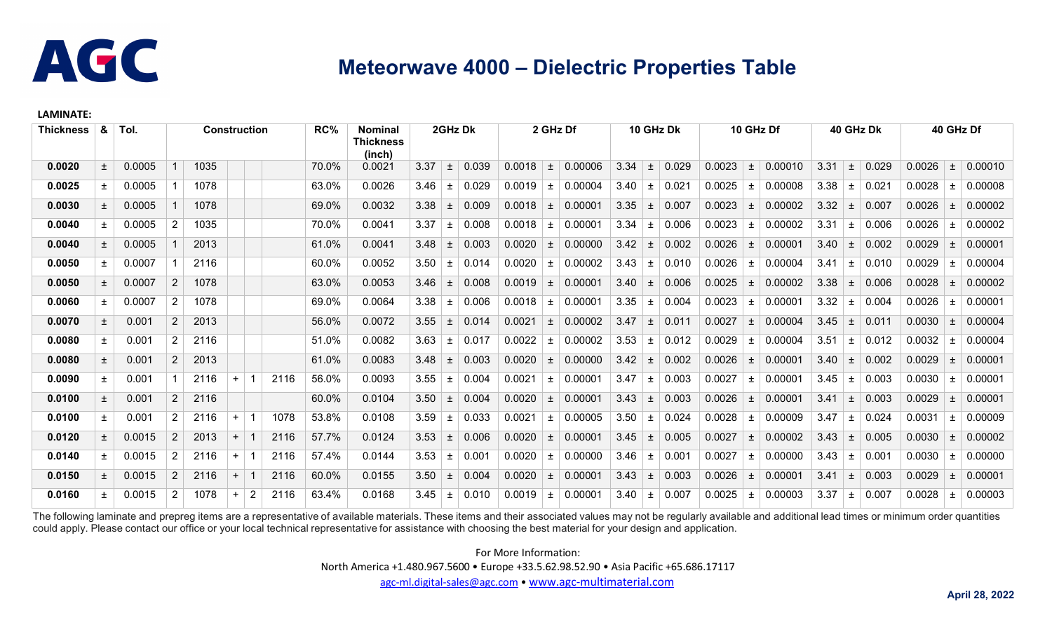

## **Meteorwave 4000 – Dielectric Properties Table**

## **LAMINATE:**

| <b>Thickness</b> | &     | Tol.   | <b>Construction</b>   |      |           | RC%            | <b>Nominal</b><br>Thickness<br>(inch) | 2GHz Dk |        |      | 2 GHz Df |       |                    | 10 GHz Dk |         |      | 10 GHz Df |       |        | 40 GHz Dk |         |      | 40 GHz Df |       |        |       |         |
|------------------|-------|--------|-----------------------|------|-----------|----------------|---------------------------------------|---------|--------|------|----------|-------|--------------------|-----------|---------|------|-----------|-------|--------|-----------|---------|------|-----------|-------|--------|-------|---------|
| 0.0020           | $\pm$ | 0.0005 |                       | 1035 |           |                |                                       | 70.0%   | 0.0021 | 3.37 | $\pm$    | 0.039 | 0.0018             | $\pm$     | 0.00006 | 3.34 | $\pm$     | 0.029 | 0.0023 | $\pm$     | 0.00010 | 3.31 | $\pm$     | 0.029 | 0.0026 | $\pm$ | 0.00010 |
| 0.0025           | 土     | 0.0005 |                       | 1078 |           |                |                                       | 63.0%   | 0.0026 | 3.46 | 土        | 0.029 | 0.0019             | 土         | 0.00004 | 3.40 | 土         | 0.021 | 0.0025 | ±.        | 0.00008 | 3.38 | 土         | 0.021 | 0.0028 | 土     | 0.00008 |
| 0.0030           | $\pm$ | 0.0005 |                       | 1078 |           |                |                                       | 69.0%   | 0.0032 | 3.38 | ±.       | 0.009 | 0.0018             | $\pm$     | 0.00001 | 3.35 | $\pm$     | 0.007 | 0.0023 | 土         | 0.00002 | 3.32 | 土         | 0.007 | 0.0026 | 土     | 0.00002 |
| 0.0040           | 土     | 0.0005 | $\overline{2}$        | 1035 |           |                |                                       | 70.0%   | 0.0041 | 3.37 | ±.       | 0.008 | 0.0018             | $\pm$     | 0.00001 | 3.34 | $\pm$     | 0.006 | 0.0023 | 土         | 0.00002 | 3.31 | 士         | 0.006 | 0.0026 | 土     | 0.00002 |
| 0.0040           | 土     | 0.0005 |                       | 2013 |           |                |                                       | 61.0%   | 0.0041 | 3.48 | ±        | 0.003 | 0.0020             | $\pm$     | 0.00000 | 3.42 | $\pm$     | 0.002 | 0.0026 | 士         | 0.00001 | 3.40 | 土         | 0.002 | 0.0029 | $\pm$ | 0.00001 |
| 0.0050           | $\pm$ | 0.0007 |                       | 2116 |           |                |                                       | 60.0%   | 0.0052 | 3.50 | 土        | 0.014 | 0.0020             | $\pm$     | 0.00002 | 3.43 | 土         | 0.010 | 0.0026 | 土         | 0.00004 | 3.41 | ±.        | 0.010 | 0.0029 | 土     | 0.00004 |
| 0.0050           | $\pm$ | 0.0007 | 2                     | 1078 |           |                |                                       | 63.0%   | 0.0053 | 3.46 | 土        | 0.008 | 0.0019             | $\pm$     | 0.00001 | 3.40 | $\pm$     | 0.006 | 0.0025 | 士         | 0.00002 | 3.38 | 土         | 0.006 | 0.0028 | $\pm$ | 0.00002 |
| 0.0060           | $\pm$ | 0.0007 | $\overline{2}$        | 1078 |           |                |                                       | 69.0%   | 0.0064 | 3.38 | 土        | 0.006 | 0.0018             | $\pm$     | 0.00001 | 3.35 | 土         | 0.004 | 0.0023 | ±.        | 0.00001 | 3.32 | 士         | 0.004 | 0.0026 | 土     | 0.00001 |
| 0.0070           | $\pm$ | 0.001  | $\overline{2}$        | 2013 |           |                |                                       | 56.0%   | 0.0072 | 3.55 | $\pm$    | 0.014 | 0.0021             | $\pm$     | 0.00002 | 3.47 | $\pm$     | 0.011 | 0.0027 | $\pm$     | 0.00004 | 3.45 | 土         | 0.011 | 0.0030 | $\pm$ | 0.00004 |
| 0.0080           | $\pm$ | 0.001  | $\overline{2}$        | 2116 |           |                |                                       | 51.0%   | 0.0082 | 3.63 | ±.       | 0.017 | 0.0022             | $\pm$     | 0.00002 | 3.53 | 土         | 0.012 | 0.0029 | 土         | 0.00004 | 3.51 | 土         | 0.012 | 0.0032 | 土     | 0.00004 |
| 0.0080           | $\pm$ | 0.001  | $\mathbf{2}^{\prime}$ | 2013 |           |                |                                       | 61.0%   | 0.0083 | 3.48 | 土        | 0.003 | 0.0020             | $\pm$     | 0.00000 | 3.42 | $\pm$     | 0.002 | 0.0026 | 土         | 0.00001 | 3.40 | $\pm$     | 0.002 | 0.0029 | $\pm$ | 0.00001 |
| 0.0090           | 土     | 0.001  |                       | 2116 | $\ddot{}$ |                | 2116                                  | 56.0%   | 0.0093 | 3.55 | 土        | 0.004 | 0.0021             | $\pm$     | 0.00001 | 3.47 | 土         | 0.003 | 0.0027 | ±.        | 0.00001 | 3.45 | 土         | 0.003 | 0.0030 | 土     | 0.00001 |
| 0.0100           | $\pm$ | 0.001  | 2 <sup>7</sup>        | 2116 |           |                |                                       | 60.0%   | 0.0104 | 3.50 | ±.       | 0.004 | 0.0020             | $\pm$     | 0.00001 | 3.43 | $\pm$     | 0.003 | 0.0026 | 土         | 0.00001 | 3.41 | 土         | 0.003 | 0.0029 | 土     | 0.00001 |
| 0.0100           | $\pm$ | 0.001  | $\overline{2}$        | 2116 | $+$       |                | 1078                                  | 53.8%   | 0.0108 | 3.59 | 土        | 0.033 | 0.002 <sup>′</sup> | $\pm$     | 0.00005 | 3.50 | $\pm$     | 0.024 | 0.0028 | 土         | 0.00009 | 3.47 | 士         | 0.024 | 0.0031 | $\pm$ | 0.00009 |
| 0.0120           | $\pm$ | 0.0015 | $2^{\circ}$           | 2013 | $+$       |                | 2116                                  | 57.7%   | 0.0124 | 3.53 | ±.       | 0.006 | 0.0020             | $\pm$     | 0.00001 | 3.45 | $\pm$     | 0.005 | 0.0027 | $\pm$     | 0.00002 | 3.43 | 土         | 0.005 | 0.0030 | $\pm$ | 0.00002 |
| 0.0140           | ±.    | 0.0015 | 2 <sup>1</sup>        | 2116 | $\ddot{}$ |                | 2116                                  | 57.4%   | 0.0144 | 3.53 | 土        | 0.001 | 0.0020             | 土         | 0.00000 | 3.46 | 土         | 0.001 | 0.0027 | ±.        | 0.00000 | 3.43 | 土         | 0.001 | 0.0030 | $\pm$ | 0.00000 |
| 0.0150           | 土     | 0.0015 | $\mathbf{2}^{\circ}$  | 2116 | $\ddot{}$ |                | 2116                                  | 60.0%   | 0.0155 | 3.50 | 土        | 0.004 | 0.0020             | $\pm$     | 0.00001 | 3.43 | $\pm$     | 0.003 | 0.0026 | 土         | 0.00001 | 3.41 | 土         | 0.003 | 0.0029 | $\pm$ | 0.00001 |
| 0.0160           | 土     | 0.0015 | $\overline{2}$        | 1078 | $\ddot{}$ | $\overline{2}$ | 2116                                  | 63.4%   | 0.0168 | 3.45 | ±.       | 0.010 | 0.0019             | $\pm$     | 0.00001 | 3.40 | 土         | 0.007 | 0.0025 | 土         | 0.00003 | 3.37 | ±.        | 0.007 | 0.0028 | 土     | 0.00003 |

The following laminate and prepreg items are a representative of available materials. These items and their associated values may not be regularly available and additional lead times or minimum order quantities could apply. Please contact our office or your local technical representative for assistance with choosing the best material for your design and application.

For More Information:

North America +1.480.967.5600 • Europe +33.5.62.98.52.90 • Asia Pacific +65.686.17117

[agc-ml.digital-sales@agc.com](mailto:info@parkelectro.com) • [www.agc-multimaterial.com](http://www.agc-multimaterial.com/)